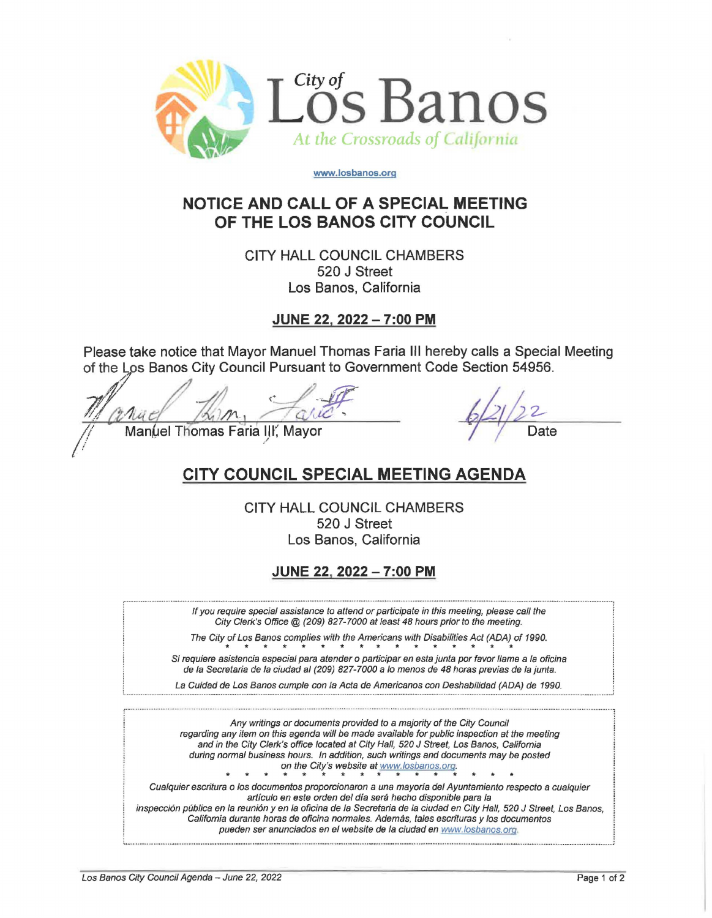

**www.losbanos.org** 

## **NOTICE AND CALL OF A SPECIAL MEETING OF THE LOS BANOS CITY COUNCIL**

**CITY HALL COUNCIL CHAMBERS 520 J Street Los Banos, California** 

**JUNE 22, 2022 - 7:00 PM** 

**Please take notice that Mayor Manuel Thomas Faria Ill hereby calls a Special Meeting**  of the Los Banos City Council Pursuant to Government Code Section 54956.

Please take notice that Mayor Manuel Thomas Faria III hereby calls a Special<br>of the Los Banos City Council Pursuant to Government Code Section 54956.<br>Manuel Thomas Faria III, Mayor Date

## **CITY COUNCIL SPECIAL MEETING AGENDA**

**CITY HALL COUNCIL CHAMBERS 520 J Street Los Banos, California** 

**JUNE 22, 2022 - 7:00 PM** 

If you require special assistance to attend or participate in this meeting, please call the City Clerk's Office@ (209) 827-7000 at least 48 hours prior to the meeting.

The City of Los Banos complies with the Americans with Disabilities Act (ADA) of 1990.

Si requiere asistencia especial para atender o participar en esta junta por favor llame a la oficina de la Secretaria de la ciudad al (209) 827-7000 a lo menos de 48 horas previas de la junta.

La Cuidad de Los Banos cumple con la Acta de Americanos con Deshabilidad (ADA) de 1990.

Any writings or documents provided to a majority of the City Council regarding any item on this agenda will be made available for public inspection at the meeting and in the City Clerk's office located at City Hall, 520 J Street, Los Banos, California during normal business hours. In addition, such writings and documents may be posted  $\begin{array}{ccccccc}\n & & & \text{on the City's website at } \frac{WWW\text{.}10502008.0r}{\text{.}10502008.0r}\n\end{array}$ 

Cualquier escritura o los documentos proporcionaron a una mayoria def Ayuntamiento respecto a cua/quier artículo en este orden del día será hecho disponible para la inspección pública en la reunión y en la oficina de la Secretaria de la ciudad en City Hall, 520 J Street, Los Banos, California durante horas de oficina normales. Ademas, tales escrituras y los documentos

: ......................................................................................................................................................................................................................................................... ............................... 1

pueden ser anunciados en el website de la ciudad en www.losbanos.org.

: